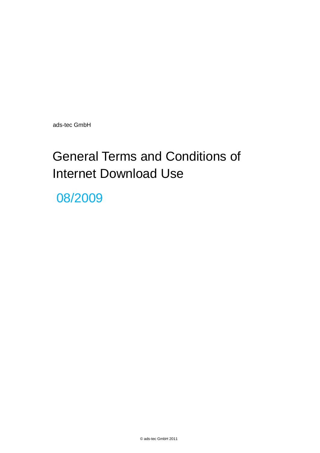ads-tec GmbH

# General Terms and Conditions of Internet Download Use

08/2009